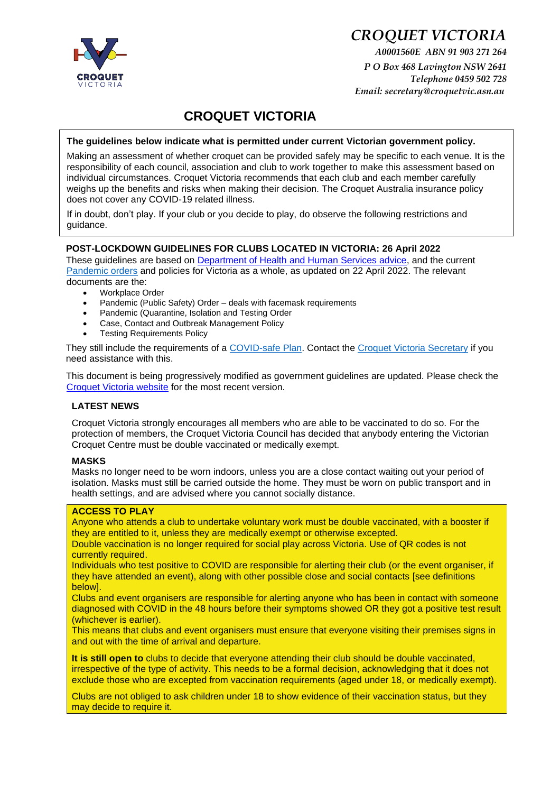

# *CROQUET VICTORIA*

*A0001560E ABN 91 903 271 264 P O Box 468 Lavington NSW 2641 Telephone 0459 502 728 Email: secretary@croquetvic.asn.au* 

# **CROQUET VICTORIA**

#### **The guidelines below indicate what is permitted under current Victorian government policy.**

Making an assessment of whether croquet can be provided safely may be specific to each venue. It is the responsibility of each council, association and club to work together to make this assessment based on individual circumstances. Croquet Victoria recommends that each club and each member carefully weighs up the benefits and risks when making their decision. The Croquet Australia insurance policy does not cover any COVID-19 related illness.

If in doubt, don't play. If your club or you decide to play, do observe the following restrictions and guidance.

#### **POST-LOCKDOWN GUIDELINES FOR CLUBS LOCATED IN VICTORIA: 26 April 2022**

These guidelines are based on [Department of Health and Human Services advice](https://www.dhhs.vic.gov.au/coronavirus)[,](https://www.dhhs.vic.gov.au/victorias-restriction-levels-covid-19) and the current [Pandemic orders](https://www.health.vic.gov.au/covid-19/pandemic-order-register) and policies for Victoria as a whole, as updated on 22 April 2022. The relevant documents are the:

- Workplace Order
- Pandemic (Public Safety) Order deals with facemask requirements
- Pandemic (Quarantine, Isolation and Testing Order
- Case, Contact and Outbreak Management Policy
- **Testing Requirements Policy**

They still include the requirements of a [COVID-safe Plan.](http://www.coronavirus.vic.gov.au/covidsafe-plan) Contact the [Croquet Victoria](mailto:secretary@croquetvic.asn.au) Secretary if you need assistance with this.

This document is being progressively modified as government guidelines are updated. Please check the [Croquet Victoria website](https://www.croquetvic.asn.au/) [f](https://www.croquetvic.asn.au/)or the most recent version.

# **LATEST NEWS**

Croquet Victoria strongly encourages all members who are able to be vaccinated to do so. For the protection of members, the Croquet Victoria Council has decided that anybody entering the Victorian Croquet Centre must be double vaccinated or medically exempt.

#### **MASKS**

Masks no longer need to be worn indoors, unless you are a close contact waiting out your period of isolation. Masks must still be carried outside the home. They must be worn on public transport and in health settings, and are advised where you cannot socially distance.

#### **ACCESS TO PLAY**

Anyone who attends a club to undertake voluntary work must be double vaccinated, with a booster if they are entitled to it, unless they are medically exempt or otherwise excepted.

Double vaccination is no longer required for social play across Victoria. Use of QR codes is not currently required.

Individuals who test positive to COVID are responsible for alerting their club (or the event organiser, if they have attended an event), along with other possible close and social contacts [see definitions below].

Clubs and event organisers are responsible for alerting anyone who has been in contact with someone diagnosed with COVID in the 48 hours before their symptoms showed OR they got a positive test result (whichever is earlier).

This means that clubs and event organisers must ensure that everyone visiting their premises signs in and out with the time of arrival and departure.

**It is still open to** clubs to decide that everyone attending their club should be double vaccinated, irrespective of the type of activity. This needs to be a formal decision, acknowledging that it does not exclude those who are excepted from vaccination requirements (aged under 18, or medically exempt).

Clubs are not obliged to ask children under 18 to show evidence of their vaccination status, but they may decide to require it.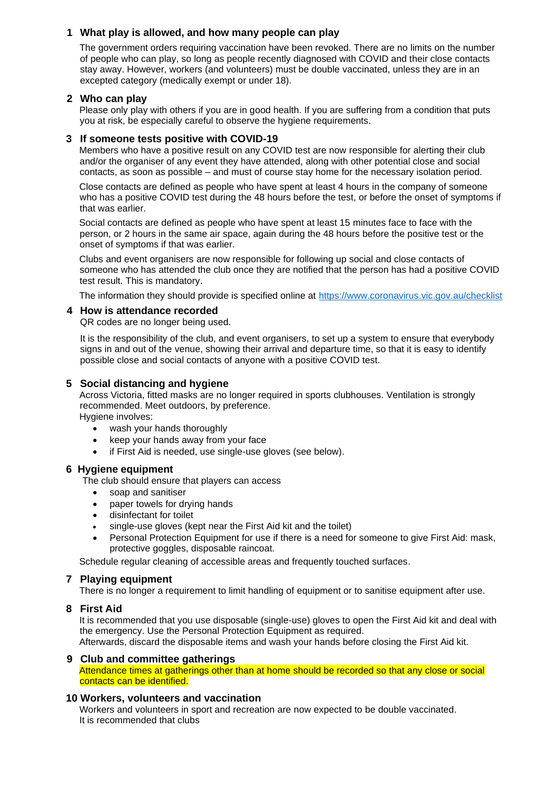# **1 What play is allowed, and how many people can play**

The government orders requiring vaccination have been revoked. There are no limits on the number of people who can play, so long as people recently diagnosed with COVID and their close contacts stay away. However, workers (and volunteers) must be double vaccinated, unless they are in an excepted category (medically exempt or under 18).

# **2 Who can play**

Please only play with others if you are in good health. If you are suffering from a condition that puts you at risk, be especially careful to observe the hygiene requirements.

# **3 If someone tests positive with COVID-19**

Members who have a positive result on any COVID test are now responsible for alerting their club and/or the organiser of any event they have attended, along with other potential close and social contacts, as soon as possible – and must of course stay home for the necessary isolation period.

Close contacts are defined as people who have spent at least 4 hours in the company of someone who has a positive COVID test during the 48 hours before the test, or before the onset of symptoms if that was earlier.

Social contacts are defined as people who have spent at least 15 minutes face to face with the person, or 2 hours in the same air space, again during the 48 hours before the positive test or the onset of symptoms if that was earlier.

Clubs and event organisers are now responsible for following up social and close contacts of someone who has attended the club once they are notified that the person has had a positive COVID test result. This is mandatory.

The information they should provide is specified online at<https://www.coronavirus.vic.gov.au/checklist>

#### **4 How is attendance recorded**

QR codes are no longer being used.

It is the responsibility of the club, and event organisers, to set up a system to ensure that everybody signs in and out of the venue, showing their arrival and departure time, so that it is easy to identify possible close and social contacts of anyone with a positive COVID test.

# **5 Social distancing and hygiene**

Across Victoria, fitted masks are no longer required in sports clubhouses. Ventilation is strongly recommended. Meet outdoors, by preference.

Hygiene involves:

- wash your hands thoroughly
- keep your hands away from your face
- if First Aid is needed, use single-use gloves (see below).

# **6 Hygiene equipment**

The club should ensure that players can access

- soap and sanitiser
- paper towels for drying hands
- disinfectant for toilet
- single-use gloves (kept near the First Aid kit and the toilet)
- Personal Protection Equipment for use if there is a need for someone to give First Aid: mask, protective goggles, disposable raincoat.

Schedule regular cleaning of accessible areas and frequently touched surfaces.

# **7 Playing equipment**

There is no longer a requirement to limit handling of equipment or to sanitise equipment after use.

# **8 First Aid**

It is recommended that you use disposable (single-use) gloves to open the First Aid kit and deal with the emergency. Use the Personal Protection Equipment as required.

Afterwards, discard the disposable items and wash your hands before closing the First Aid kit.

# **9 Club and committee gatherings**

Attendance times at gatherings other than at home should be recorded so that any close or social contacts can be identified.

# **10 Workers, volunteers and vaccination**

Workers and volunteers in sport and recreation are now expected to be double vaccinated. It is recommended that clubs